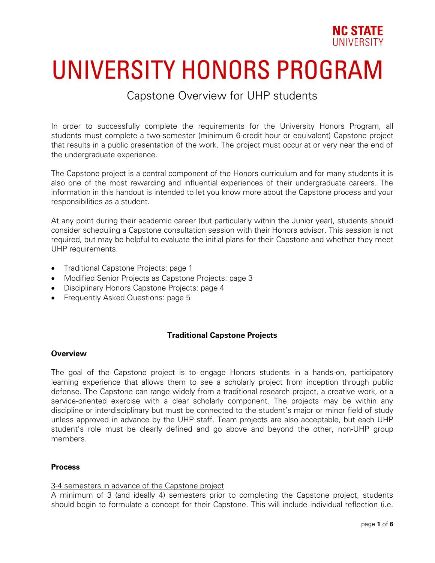

# **UNIVERSITY HONORS PROGRAM**

# Capstone Overview for UHP students

In order to successfully complete the requirements for the University Honors Program, all students must complete a two-semester (minimum 6-credit hour or equivalent) Capstone project that results in a public presentation of the work. The project must occur at or very near the end of the undergraduate experience.

The Capstone project is a central component of the Honors curriculum and for many students it is also one of the most rewarding and influential experiences of their undergraduate careers. The information in this handout is intended to let you know more about the Capstone process and your responsibilities as a student.

At any point during their academic career (but particularly within the Junior year), students should consider scheduling a Capstone consultation session with their Honors advisor. This session is not required, but may be helpful to evaluate the initial plans for their Capstone and whether they meet UHP requirements.

- Traditional Capstone Projects: page 1
- Modified Senior Projects as Capstone Projects: page 3
- Disciplinary Honors Capstone Projects: page 4
- Frequently Asked Questions: page 5

# **Traditional Capstone Projects**

# **Overview**

The goal of the Capstone project is to engage Honors students in a hands-on, participatory learning experience that allows them to see a scholarly project from inception through public defense. The Capstone can range widely from a traditional research project, a creative work, or a service-oriented exercise with a clear scholarly component. The projects may be within any discipline or interdisciplinary but must be connected to the student's major or minor field of study unless approved in advance by the UHP staff. Team projects are also acceptable, but each UHP student's role must be clearly defined and go above and beyond the other, non-UHP group members.

#### **Process**

# 3-4 semesters in advance of the Capstone project

A minimum of 3 (and ideally 4) semesters prior to completing the Capstone project, students should begin to formulate a concept for their Capstone. This will include individual reflection (i.e.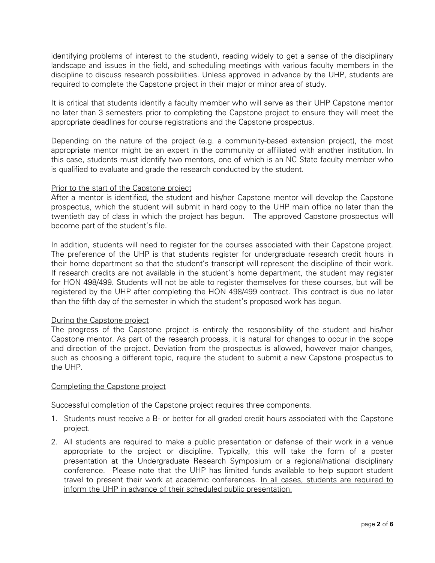identifying problems of interest to the student), reading widely to get a sense of the disciplinary landscape and issues in the field, and scheduling meetings with various faculty members in the discipline to discuss research possibilities. Unless approved in advance by the UHP, students are required to complete the Capstone project in their major or minor area of study.

It is critical that students identify a faculty member who will serve as their UHP Capstone mentor no later than 3 semesters prior to completing the Capstone project to ensure they will meet the appropriate deadlines for course registrations and the Capstone prospectus.

Depending on the nature of the project (e.g. a community-based extension project), the most appropriate mentor might be an expert in the community or affiliated with another institution. In this case, students must identify two mentors, one of which is an NC State faculty member who is qualified to evaluate and grade the research conducted by the student.

# Prior to the start of the Capstone project

After a mentor is identified, the student and his/her Capstone mentor will develop the Capstone prospectus, which the student will submit in hard copy to the UHP main office no later than the twentieth day of class in which the project has begun. The approved Capstone prospectus will become part of the student's file.

In addition, students will need to register for the courses associated with their Capstone project. The preference of the UHP is that students register for undergraduate research credit hours in their home department so that the student's transcript will represent the discipline of their work. If research credits are not available in the student's home department, the student may register for HON 498/499. Students will not be able to register themselves for these courses, but will be registered by the UHP after completing the HON 498/499 contract. This contract is due no later than the fifth day of the semester in which the student's proposed work has begun.

# During the Capstone project

The progress of the Capstone project is entirely the responsibility of the student and his/her Capstone mentor. As part of the research process, it is natural for changes to occur in the scope and direction of the project. Deviation from the prospectus is allowed, however major changes, such as choosing a different topic, require the student to submit a new Capstone prospectus to the UHP.

# Completing the Capstone project

Successful completion of the Capstone project requires three components.

- 1. Students must receive a B- or better for all graded credit hours associated with the Capstone project.
- 2. All students are required to make a public presentation or defense of their work in a venue appropriate to the project or discipline. Typically, this will take the form of a poster presentation at the Undergraduate Research Symposium or a regional/national disciplinary conference. Please note that the UHP has limited funds available to help support student travel to present their work at academic conferences. In all cases, students are required to inform the UHP in advance of their scheduled public presentation.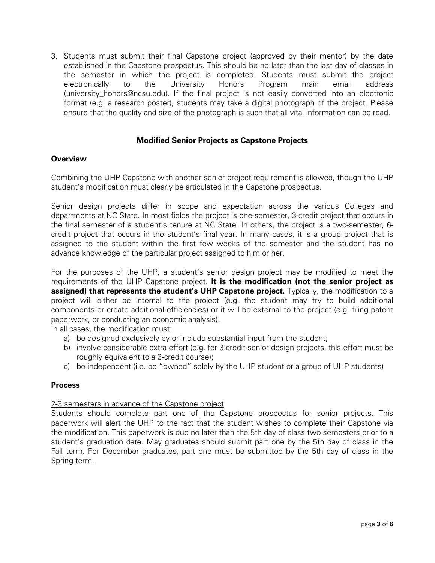3. Students must submit their final Capstone project (approved by their mentor) by the date established in the Capstone prospectus. This should be no later than the last day of classes in the semester in which the project is completed. Students must submit the project electronically to the University Honors Program main email address (university honors@ncsu.edu). If the final project is not easily converted into an electronic format (e.g. a research poster), students may take a digital photograph of the project. Please ensure that the quality and size of the photograph is such that all vital information can be read.

# **Modified Senior Projects as Capstone Projects**

# **Overview**

Combining the UHP Capstone with another senior project requirement is allowed, though the UHP student's modification must clearly be articulated in the Capstone prospectus.

Senior design projects differ in scope and expectation across the various Colleges and departments at NC State. In most fields the project is one-semester, 3-credit project that occurs in the final semester of a student's tenure at NC State. In others, the project is a two-semester, 6 credit project that occurs in the student's final year. In many cases, it is a group project that is assigned to the student within the first few weeks of the semester and the student has no advance knowledge of the particular project assigned to him or her.

For the purposes of the UHP, a student's senior design project may be modified to meet the requirements of the UHP Capstone project. **It is the modification (not the senior project as assigned) that represents the student's UHP Capstone project.** Typically, the modification to a project will either be internal to the project (e.g. the student may try to build additional components or create additional efficiencies) or it will be external to the project (e.g. filing patent paperwork, or conducting an economic analysis).

In all cases, the modification must:

- a) be designed exclusively by or include substantial input from the student;
- b) involve considerable extra effort (e.g. for 3-credit senior design projects, this effort must be roughly equivalent to a 3-credit course);
- c) be independent (i.e. be "owned" solely by the UHP student or a group of UHP students)

# **Process**

# 2-3 semesters in advance of the Capstone project

Students should complete part one of the Capstone prospectus for senior projects. This paperwork will alert the UHP to the fact that the student wishes to complete their Capstone via the modification. This paperwork is due no later than the 5th day of class two semesters prior to a student's graduation date. May graduates should submit part one by the 5th day of class in the Fall term. For December graduates, part one must be submitted by the 5th day of class in the Spring term.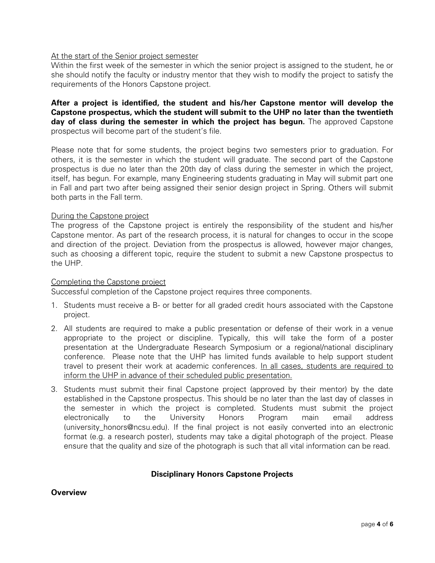# At the start of the Senior project semester

Within the first week of the semester in which the senior project is assigned to the student, he or she should notify the faculty or industry mentor that they wish to modify the project to satisfy the requirements of the Honors Capstone project.

**After a project is identified, the student and his/her Capstone mentor will develop the Capstone prospectus, which the student will submit to the UHP no later than the twentieth day of class during the semester in which the project has begun.** The approved Capstone prospectus will become part of the student's file.

Please note that for some students, the project begins two semesters prior to graduation. For others, it is the semester in which the student will graduate. The second part of the Capstone prospectus is due no later than the 20th day of class during the semester in which the project, itself, has begun. For example, many Engineering students graduating in May will submit part one in Fall and part two after being assigned their senior design project in Spring. Others will submit both parts in the Fall term.

# During the Capstone project

The progress of the Capstone project is entirely the responsibility of the student and his/her Capstone mentor. As part of the research process, it is natural for changes to occur in the scope and direction of the project. Deviation from the prospectus is allowed, however major changes, such as choosing a different topic, require the student to submit a new Capstone prospectus to the UHP.

# Completing the Capstone project

Successful completion of the Capstone project requires three components.

- 1. Students must receive a B- or better for all graded credit hours associated with the Capstone project.
- 2. All students are required to make a public presentation or defense of their work in a venue appropriate to the project or discipline. Typically, this will take the form of a poster presentation at the Undergraduate Research Symposium or a regional/national disciplinary conference. Please note that the UHP has limited funds available to help support student travel to present their work at academic conferences. In all cases, students are required to inform the UHP in advance of their scheduled public presentation.
- 3. Students must submit their final Capstone project (approved by their mentor) by the date established in the Capstone prospectus. This should be no later than the last day of classes in the semester in which the project is completed. Students must submit the project electronically to the University Honors Program main email address (university honors@ncsu.edu). If the final project is not easily converted into an electronic format (e.g. a research poster), students may take a digital photograph of the project. Please ensure that the quality and size of the photograph is such that all vital information can be read.

# **Disciplinary Honors Capstone Projects**

# **Overview**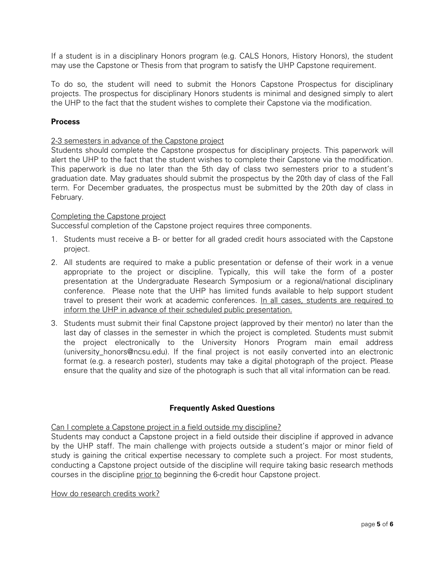If a student is in a disciplinary Honors program (e.g. CALS Honors, History Honors), the student may use the Capstone or Thesis from that program to satisfy the UHP Capstone requirement.

To do so, the student will need to submit the Honors Capstone Prospectus for disciplinary projects. The prospectus for disciplinary Honors students is minimal and designed simply to alert the UHP to the fact that the student wishes to complete their Capstone via the modification.

# **Process**

# 2-3 semesters in advance of the Capstone project

Students should complete the Capstone prospectus for disciplinary projects. This paperwork will alert the UHP to the fact that the student wishes to complete their Capstone via the modification. This paperwork is due no later than the 5th day of class two semesters prior to a student's graduation date. May graduates should submit the prospectus by the 20th day of class of the Fall term. For December graduates, the prospectus must be submitted by the 20th day of class in February.

# Completing the Capstone project

Successful completion of the Capstone project requires three components.

- 1. Students must receive a B- or better for all graded credit hours associated with the Capstone project.
- 2. All students are required to make a public presentation or defense of their work in a venue appropriate to the project or discipline. Typically, this will take the form of a poster presentation at the Undergraduate Research Symposium or a regional/national disciplinary conference. Please note that the UHP has limited funds available to help support student travel to present their work at academic conferences. In all cases, students are required to inform the UHP in advance of their scheduled public presentation.
- 3. Students must submit their final Capstone project (approved by their mentor) no later than the last day of classes in the semester in which the project is completed. Students must submit the project electronically to the University Honors Program main email address (university honors@ncsu.edu). If the final project is not easily converted into an electronic format (e.g. a research poster), students may take a digital photograph of the project. Please ensure that the quality and size of the photograph is such that all vital information can be read.

# **Frequently Asked Questions**

# Can I complete a Capstone project in a field outside my discipline?

Students may conduct a Capstone project in a field outside their discipline if approved in advance by the UHP staff. The main challenge with projects outside a student's major or minor field of study is gaining the critical expertise necessary to complete such a project. For most students, conducting a Capstone project outside of the discipline will require taking basic research methods courses in the discipline prior to beginning the 6-credit hour Capstone project.

# How do research credits work?